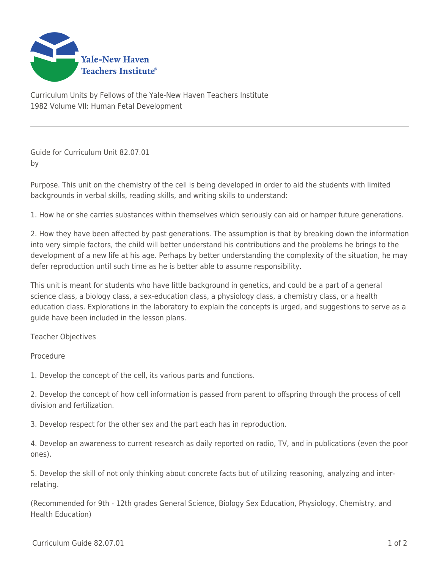

Curriculum Units by Fellows of the Yale-New Haven Teachers Institute 1982 Volume VII: Human Fetal Development

Guide for Curriculum Unit 82.07.01 by

Purpose. This unit on the chemistry of the cell is being developed in order to aid the students with limited backgrounds in verbal skills, reading skills, and writing skills to understand:

1. How he or she carries substances within themselves which seriously can aid or hamper future generations.

2. How they have been affected by past generations. The assumption is that by breaking down the information into very simple factors, the child will better understand his contributions and the problems he brings to the development of a new life at his age. Perhaps by better understanding the complexity of the situation, he may defer reproduction until such time as he is better able to assume responsibility.

This unit is meant for students who have little background in genetics, and could be a part of a general science class, a biology class, a sex-education class, a physiology class, a chemistry class, or a health education class. Explorations in the laboratory to explain the concepts is urged, and suggestions to serve as a guide have been included in the lesson plans.

Teacher Objectives

Procedure

1. Develop the concept of the cell, its various parts and functions.

2. Develop the concept of how cell information is passed from parent to offspring through the process of cell division and fertilization.

3. Develop respect for the other sex and the part each has in reproduction.

4. Develop an awareness to current research as daily reported on radio, TV, and in publications (even the poor ones).

5. Develop the skill of not only thinking about concrete facts but of utilizing reasoning, analyzing and interrelating.

(Recommended for 9th - 12th grades General Science, Biology Sex Education, Physiology, Chemistry, and Health Education)